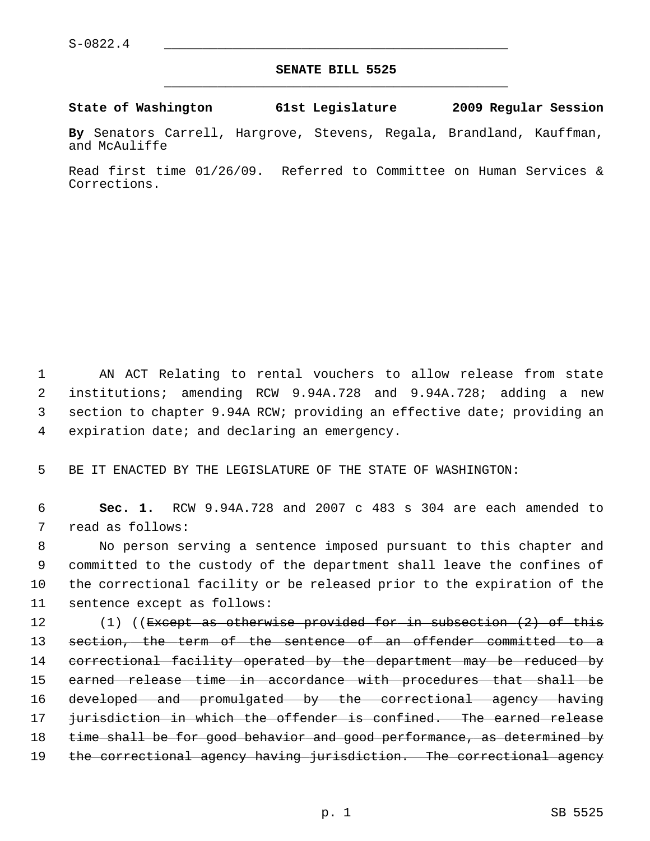## **SENATE BILL 5525** \_\_\_\_\_\_\_\_\_\_\_\_\_\_\_\_\_\_\_\_\_\_\_\_\_\_\_\_\_\_\_\_\_\_\_\_\_\_\_\_\_\_\_\_\_

**State of Washington 61st Legislature 2009 Regular Session**

**By** Senators Carrell, Hargrove, Stevens, Regala, Brandland, Kauffman, and McAuliffe

Read first time 01/26/09. Referred to Committee on Human Services & Corrections.

 1 AN ACT Relating to rental vouchers to allow release from state 2 institutions; amending RCW 9.94A.728 and 9.94A.728; adding a new 3 section to chapter 9.94A RCW; providing an effective date; providing an 4 expiration date; and declaring an emergency.

5 BE IT ENACTED BY THE LEGISLATURE OF THE STATE OF WASHINGTON:

 6 **Sec. 1.** RCW 9.94A.728 and 2007 c 483 s 304 are each amended to 7 read as follows:

 8 No person serving a sentence imposed pursuant to this chapter and 9 committed to the custody of the department shall leave the confines of 10 the correctional facility or be released prior to the expiration of the 11 sentence except as follows:

12 (1) ((Except as otherwise provided for in subsection (2) of this 13 section, the term of the sentence of an offender committed to a 14 correctional facility operated by the department may be reduced by 15 earned release time in accordance with procedures that shall be 16 developed and promulgated by the correctional agency having 17 jurisdiction in which the offender is confined. The earned release 18 time shall be for good behavior and good performance, as determined by 19 the correctional agency having jurisdiction. The correctional agency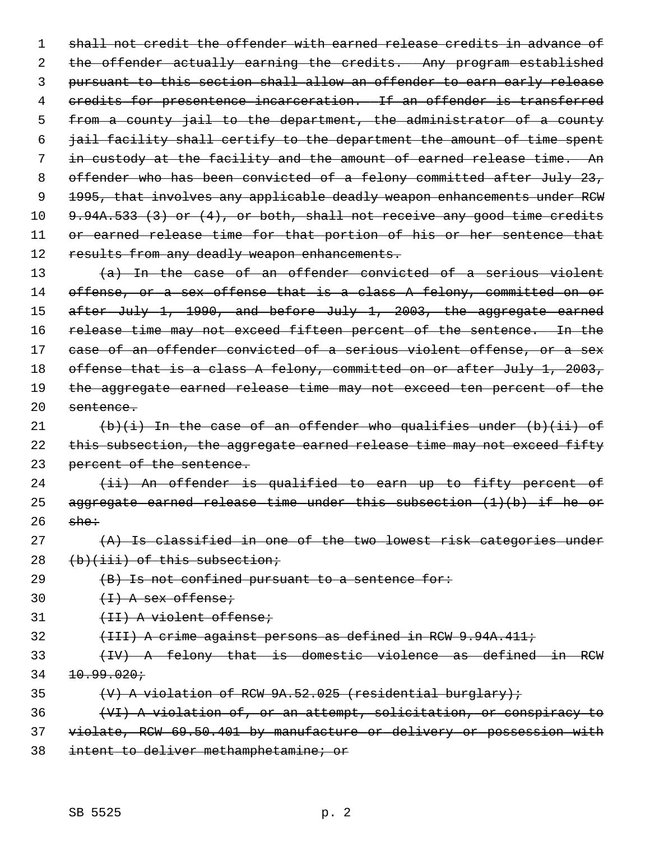1 shall not credit the offender with earned release credits in advance of 2 the offender actually earning the credits. Any program established 3 pursuant to this section shall allow an offender to earn early release 4 credits for presentence incarceration. If an offender is transferred 5 from a county jail to the department, the administrator of a county 6 jail facility shall certify to the department the amount of time spent 7 in custody at the facility and the amount of earned release time. An 8 offender who has been convicted of a felony committed after July 23, 9 1995, that involves any applicable deadly weapon enhancements under RCW 10 9.94A.533 (3) or (4), or both, shall not receive any good time credits 11 or earned release time for that portion of his or her sentence that 12 results from any deadly weapon enhancements. 13 (a) In the case of an offender convicted of a serious violent

14 offense, or a sex offense that is a class A felony, committed on or 15 after July 1, 1990, and before July 1, 2003, the aggregate earned 16 release time may not exceed fifteen percent of the sentence. In the 17 case of an offender convicted of a serious violent offense, or a sex 18 offense that is a class A felony, committed on or after July 1, 2003, 19 the aggregate earned release time may not exceed ten percent of the 20 sentence.

21  $(b)(i)$  In the case of an offender who qualifies under  $(b)(ii)$  of 22 this subsection, the aggregate earned release time may not exceed fifty 23 percent of the sentence.

 $24$  (ii) An offender is qualified to earn up to fifty percent of 25 aggregate earned release time under this subsection (1)(b) if he or  $26$  she:

- 27 (A) Is classified in one of the two lowest risk categories under 28 (b)(iii) of this subsection;
- $29$  (B) Is not confined pursuant to a sentence for:

30  $(+1)$  A sex offense;

31 (II) A violent offense;

- 32 (III) A crime against persons as defined in RCW 9.94A.411;
- 33 (IV) A felony that is domestic violence as defined in RCW  $34$   $10.99.020j$
- 35  $\forall$  +  $\forall$  +  $\forall$  +  $\forall$  +  $\forall$  +  $\forall$  +  $\forall$  +  $\forall$  +  $\forall$  +  $\forall$  +  $\forall$  +  $\forall$  +  $\forall$  +  $\forall$  +  $\forall$  +  $\forall$  +  $\forall$  +  $\forall$  +  $\forall$  +  $\forall$  +  $\forall$  +  $\forall$  +  $\forall$  +  $\forall$  +  $\forall$  +  $\forall$  +  $\forall$  +  $\forall$  +  $\forall$  +  $\forall$  +  $\forall$  +

36 (VI) A violation of, or an attempt, solicitation, or conspiracy to

- 37 violate, RCW 69.50.401 by manufacture or delivery or possession with
- 38 intent to deliver methamphetamine; or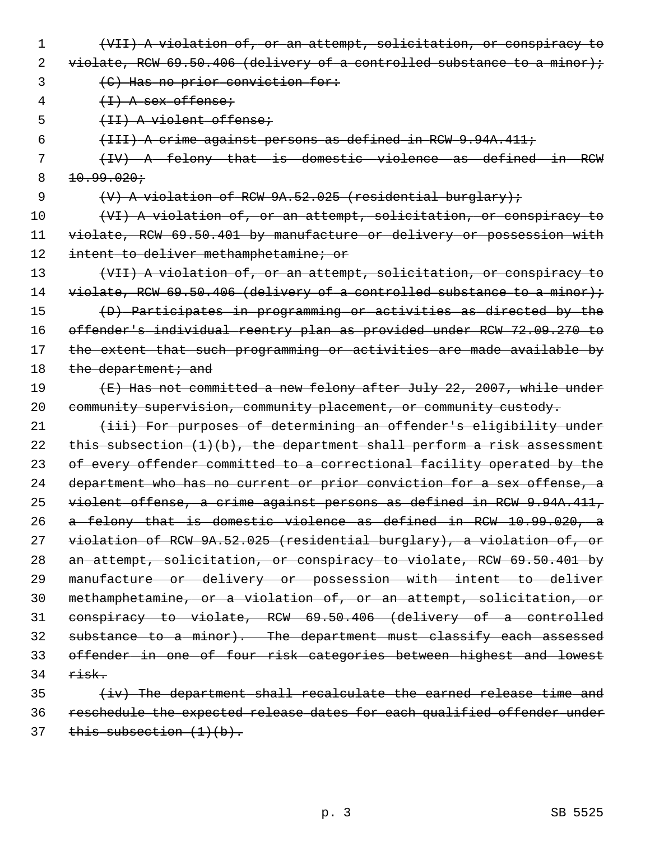- 1 (VII) A violation of, or an attempt, solicitation, or conspiracy to
- 2 violate, RCW  $69.50.406$  (delivery of a controlled substance to a minor);
- 3 (C) Has no prior conviction for:
- $4 + 1)$  A sex offense;
- 5 (II) A violent offense;
- 6 (III) A crime against persons as defined in RCW 9.94A.411;
- 7 (IV) A felony that is domestic violence as defined in RCW  $8 + 10.99.020$
- 9 (V) A violation of RCW 9A.52.025 (residential burglary);
- 10 (VI) A violation of, or an attempt, solicitation, or conspiracy to 11 violate, RCW 69.50.401 by manufacture or delivery or possession with 12 intent to deliver methamphetamine; or
- 13 (VII) A violation of, or an attempt, solicitation, or conspiracy to 14 violate, RCW 69.50.406 (delivery of a controlled substance to a minor); 15 (D) Participates in programming or activities as directed by the 16 offender's individual reentry plan as provided under RCW 72.09.270 to 17 the extent that such programming or activities are made available by 18 the department; and
- 19 (E) Has not committed a new felony after July 22, 2007, while under 20 community supervision, community placement, or community custody.
- 21 (iii) For purposes of determining an offender's eligibility under 22 this subsection  $(1)(b)$ , the department shall perform a risk assessment 23 of every offender committed to a correctional facility operated by the 24 department who has no current or prior conviction for a sex offense, a 25 violent offense, a crime against persons as defined in RCW 9.94A.411, 26 a felony that is domestic violence as defined in RCW 10.99.020, a 27 violation of RCW 9A.52.025 (residential burglary), a violation of, or 28 an attempt, solicitation, or conspiracy to violate, RCW 69.50.401 by 29 manufacture or delivery or possession with intent to deliver 30 methamphetamine, or a violation of, or an attempt, solicitation, or 31 conspiracy to violate, RCW 69.50.406 (delivery of a controlled 32 substance to a minor). The department must classify each assessed 33 offender in one of four risk categories between highest and lowest  $34$  risk.
- $35$  (iv) The department shall recalculate the earned release time and 36 reschedule the expected release dates for each qualified offender under  $37$  this subsection  $(1)(b)$ .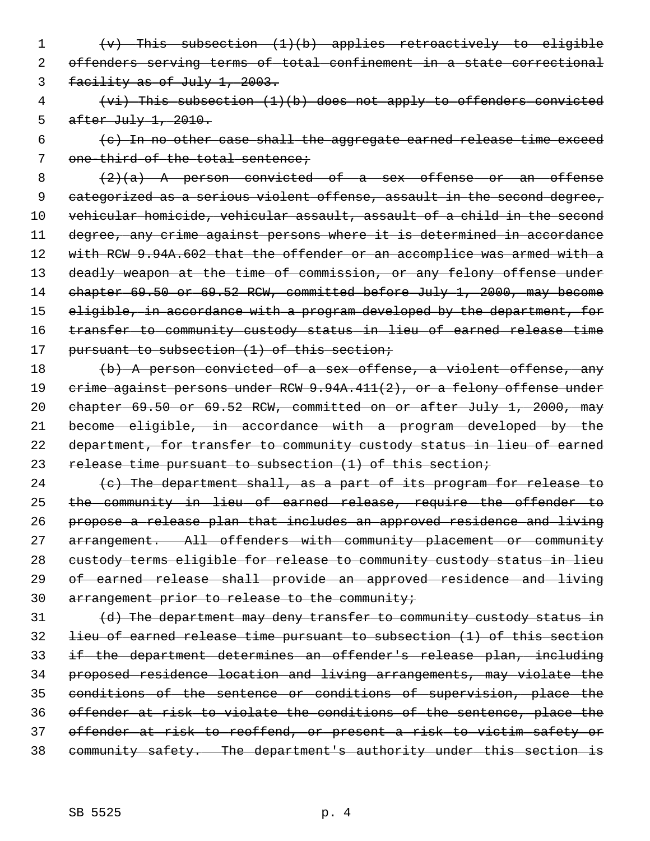- 1 (v) This subsection (1)(b) applies retroactively to eligible 2 offenders serving terms of total confinement in a state correctional 3 facility as of July 1, 2003.
- 4 (vi) This subsection (1)(b) does not apply to offenders convicted 5 after July 1, 2010.
- $6$  (c) In no other case shall the aggregate earned release time exceed 7 one-third of the total sentence;

 $8$  (2)(a) A person convicted of a sex offense or an offense 9 categorized as a serious violent offense, assault in the second degree, 10 vehicular homicide, vehicular assault, assault of a child in the second 11 degree, any crime against persons where it is determined in accordance 12 with RCW 9.94A.602 that the offender or an accomplice was armed with a 13 deadly weapon at the time of commission, or any felony offense under 14 chapter 69.50 or 69.52 RCW, committed before July 1, 2000, may become 15 eligible, in accordance with a program developed by the department, for 16 transfer to community custody status in lieu of earned release time 17 pursuant to subsection (1) of this section;

18 (b) A person convicted of a sex offense, a violent offense, any 19 crime against persons under RCW 9.94A.411(2), or a felony offense under 20 chapter 69.50 or 69.52 RCW, committed on or after July 1, 2000, may 21 become eligible, in accordance with a program developed by the 22 department, for transfer to community custody status in lieu of earned 23 release time pursuant to subsection (1) of this section;

24  $\left\{\left.\mathbf{c}\right\}\right\}$  The department shall, as a part of its program for release to 25 the community in lieu of earned release, require the offender to 26 propose a release plan that includes an approved residence and living 27 arrangement. All offenders with community placement or community 28 custody terms eligible for release to community custody status in lieu 29 of earned release shall provide an approved residence and living 30 arrangement prior to release to the community;

 $\{d\}$  The department may deny transfer to community custody status in lieu of earned release time pursuant to subsection (1) of this section if the department determines an offender's release plan, including proposed residence location and living arrangements, may violate the conditions of the sentence or conditions of supervision, place the offender at risk to violate the conditions of the sentence, place the offender at risk to reoffend, or present a risk to victim safety or community safety. The department's authority under this section is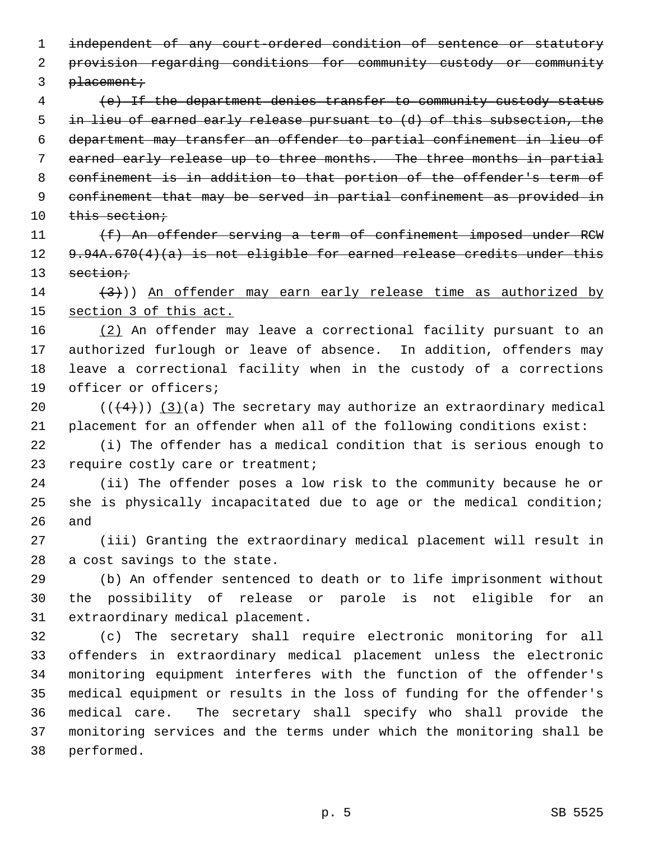1 independent of any court-ordered condition of sentence or statutory 2 provision regarding conditions for community custody or community  $3$  placement; 4 (e) If the department denies transfer to community custody status 5 in lieu of earned early release pursuant to (d) of this subsection, the 6 department may transfer an offender to partial confinement in lieu of 7 earned early release up to three months. The three months in partial 8 confinement is in addition to that portion of the offender's term of 9 confinement that may be served in partial confinement as provided in 10 this section; 11 (f) An offender serving a term of confinement imposed under RCW 12 9.94A.670(4)(a) is not eligible for earned release credits under this 13 section; 14  $(3)$ )) An offender may earn early release time as authorized by 15 section 3 of this act. 16 (2) An offender may leave a correctional facility pursuant to an 17 authorized furlough or leave of absence. In addition, offenders may 18 leave a correctional facility when in the custody of a corrections 19 officer or officers; 20  $((+4))$   $(3)(a)$  The secretary may authorize an extraordinary medical 21 placement for an offender when all of the following conditions exist: 22 (i) The offender has a medical condition that is serious enough to 23 require costly care or treatment; 24 (ii) The offender poses a low risk to the community because he or 25 she is physically incapacitated due to age or the medical condition; 26 and 27 (iii) Granting the extraordinary medical placement will result in 28 a cost savings to the state. 29 (b) An offender sentenced to death or to life imprisonment without 30 the possibility of release or parole is not eligible for an 31 extraordinary medical placement. 32 (c) The secretary shall require electronic monitoring for all 33 offenders in extraordinary medical placement unless the electronic 34 monitoring equipment interferes with the function of the offender's 35 medical equipment or results in the loss of funding for the offender's 36 medical care. The secretary shall specify who shall provide the 37 monitoring services and the terms under which the monitoring shall be 38 performed.

p. 5 SB 5525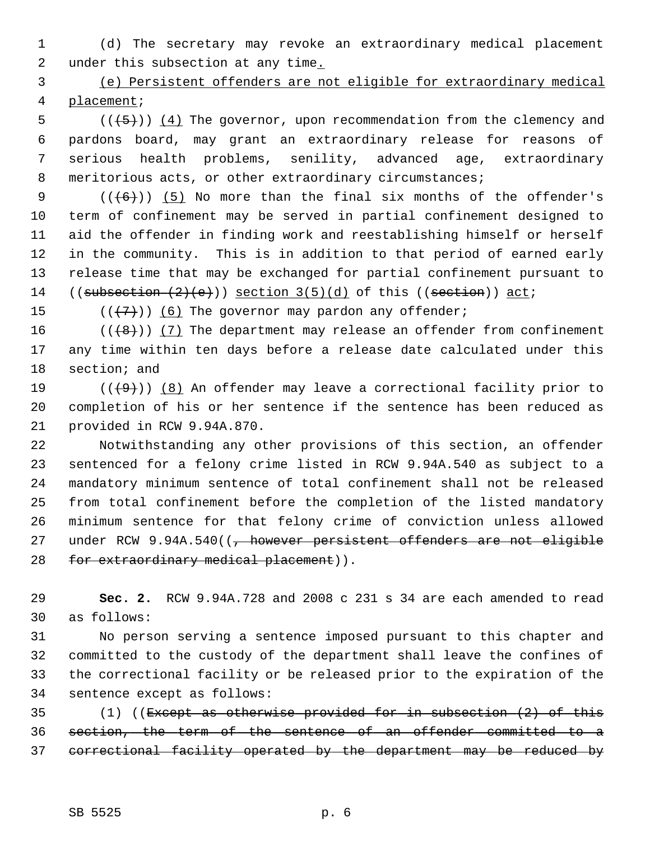1 (d) The secretary may revoke an extraordinary medical placement 2 under this subsection at any time.

 3 (e) Persistent offenders are not eligible for extraordinary medical 4 placement;

 $5$  (( $(5)$ )) (4) The governor, upon recommendation from the clemency and 6 pardons board, may grant an extraordinary release for reasons of 7 serious health problems, senility, advanced age, extraordinary 8 meritorious acts, or other extraordinary circumstances;

9  $((+6))$  (5) No more than the final six months of the offender's 10 term of confinement may be served in partial confinement designed to 11 aid the offender in finding work and reestablishing himself or herself 12 in the community. This is in addition to that period of earned early 13 release time that may be exchanged for partial confinement pursuant to 14 ((subsection  $(2)(e)$ )) section  $3(5)(d)$  of this ((section)) act;

15  $((+7))$  (6) The governor may pardon any offender;

16 ( $(\{8\})$ ) (7) The department may release an offender from confinement 17 any time within ten days before a release date calculated under this 18 section; and

19  $((+9))$  (8) An offender may leave a correctional facility prior to 20 completion of his or her sentence if the sentence has been reduced as 21 provided in RCW 9.94A.870.

22 Notwithstanding any other provisions of this section, an offender 23 sentenced for a felony crime listed in RCW 9.94A.540 as subject to a 24 mandatory minimum sentence of total confinement shall not be released 25 from total confinement before the completion of the listed mandatory 26 minimum sentence for that felony crime of conviction unless allowed 27 under RCW  $9.94A.540$  ( $\frac{1}{7}$  however persistent offenders are not eligible 28 for extraordinary medical placement)).

29 **Sec. 2.** RCW 9.94A.728 and 2008 c 231 s 34 are each amended to read 30 as follows:

31 No person serving a sentence imposed pursuant to this chapter and 32 committed to the custody of the department shall leave the confines of 33 the correctional facility or be released prior to the expiration of the 34 sentence except as follows:

35 (1) ((Except as otherwise provided for in subsection (2) of this 36 section, the term of the sentence of an offender committed to a 37 correctional facility operated by the department may be reduced by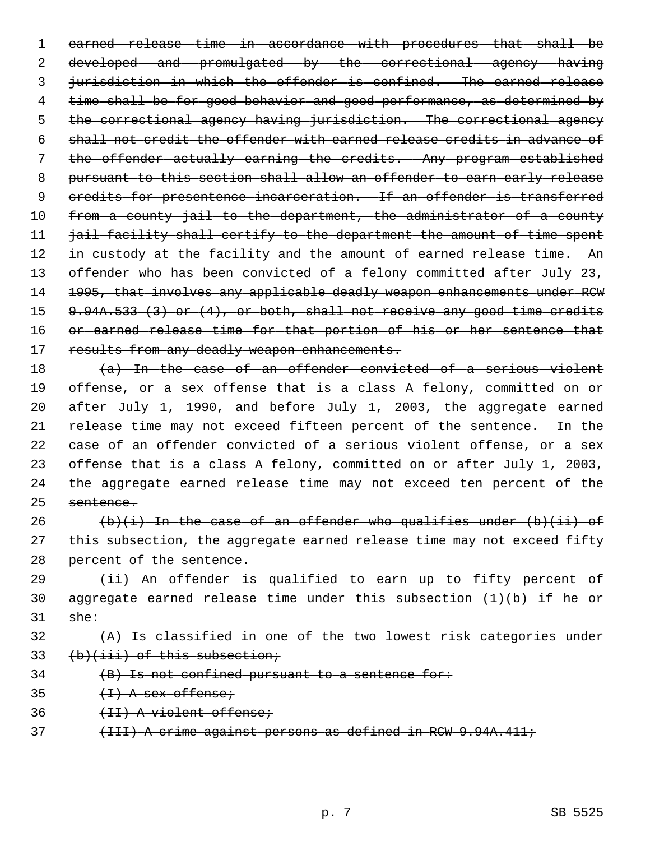1 earned release time in accordance with procedures that shall be 2 developed and promulgated by the correctional agency having 3 jurisdiction in which the offender is confined. The earned release 4 time shall be for good behavior and good performance, as determined by 5 the correctional agency having jurisdiction. The correctional agency 6 shall not credit the offender with earned release credits in advance of 7 the offender actually earning the credits. Any program established 8 pursuant to this section shall allow an offender to earn early release 9 credits for presentence incarceration. If an offender is transferred 10 from a county jail to the department, the administrator of a county 11 *jail facility shall certify to the department the amount of time spent* 12 in custody at the facility and the amount of earned release time. An 13 offender who has been convicted of a felony committed after July 23, 14 1995, that involves any applicable deadly weapon enhancements under RCW 15 9.94A.533 (3) or (4), or both, shall not receive any good time credits 16 or earned release time for that portion of his or her sentence that 17 results from any deadly weapon enhancements.

18 (a) In the case of an offender convicted of a serious violent 19 offense, or a sex offense that is a class A felony, committed on or 20 after July 1, 1990, and before July 1, 2003, the aggregate earned 21 release time may not exceed fifteen percent of the sentence. In the 22 case of an offender convicted of a serious violent offense, or a sex 23 offense that is a class A felony, committed on or after July 1, 2003, 24 the aggregate earned release time may not exceed ten percent of the 25 sentence.

26  $(b)(i)$  In the case of an offender who qualifies under  $(b)(ii)$  of 27 this subsection, the aggregate earned release time may not exceed fifty 28 percent of the sentence.

29 (ii) An offender is qualified to earn up to fifty percent of 30 aggregate earned release time under this subsection (1)(b) if he or  $31$  she:

## 32 (A) Is classified in one of the two lowest risk categories under 33 (b)(iii) of this subsection;

34 (B) Is not confined pursuant to a sentence for:

 $35$   $(+1)$  A sex offense;

36 (II) A violent offense;

37 (III) A crime against persons as defined in RCW 9.94A.411;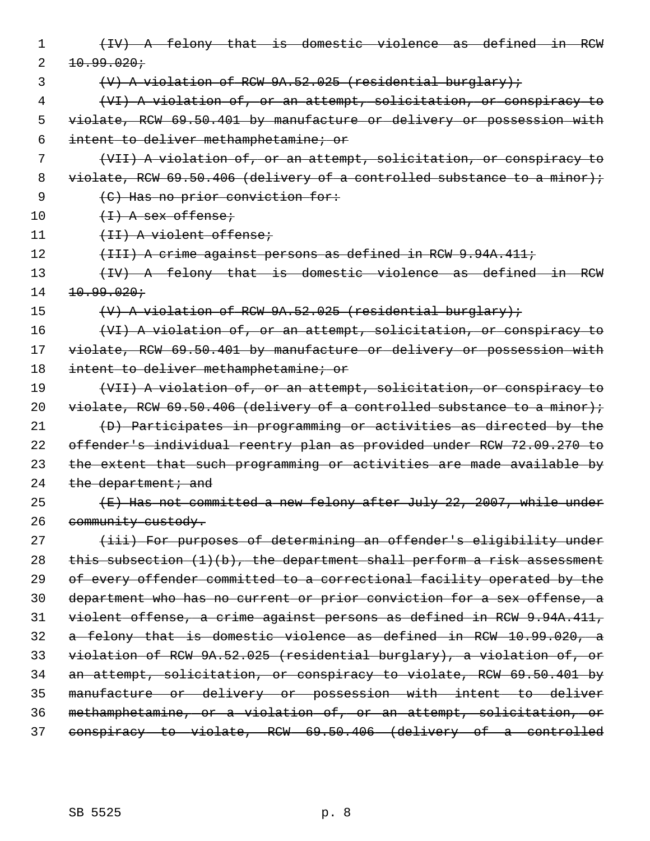| 1  | (IV) A felony that is domestic violence as defined in RCW                 |
|----|---------------------------------------------------------------------------|
| 2  | 10.99.020j                                                                |
| 3  | $(V)$ A violation of RCW 9A.52.025 (residential burglary);                |
| 4  | (VI) A violation of, or an attempt, solicitation, or conspiracy to        |
| 5  | violate, RCW 69.50.401 by manufacture or delivery or possession with      |
| 6  | intent to deliver methamphetamine; or                                     |
| 7  | (VII) A violation of, or an attempt, solicitation, or conspiracy to       |
| 8  | violate, RCW 69.50.406 (delivery of a controlled substance to a minor);   |
| 9  | (C) Has no prior conviction for:                                          |
| 10 | $\{f + \}$ A sex offense;                                                 |
| 11 | (II) A violent offense;                                                   |
| 12 | $\{$ III) A crime against persons as defined in RCW 9.94A.411;            |
| 13 | (IV) A felony that is domestic violence as defined in RCW                 |
| 14 | 10.99.020t                                                                |
| 15 | $(V)$ A violation of RCW 9A.52.025 (residential burglary);                |
| 16 | (VI) A violation of, or an attempt, solicitation, or conspiracy to        |
| 17 | violate, RCW 69.50.401 by manufacture or delivery or possession with      |
| 18 | intent to deliver methamphetamine; or                                     |
| 19 | (VII) A violation of, or an attempt, solicitation, or conspiracy to       |
| 20 | violate, RCW 69.50.406 (delivery of a controlled substance to a minor);   |
| 21 | (D) Participates in programming or activities as directed by the          |
| 22 | offender's individual reentry plan as provided under RCW 72.09.270 to     |
| 23 | the extent that such programming or activities are made available by      |
| 24 | the department; and                                                       |
| 25 | (E) Has not committed a new felony after July 22, 2007, while under       |
| 26 | community custody.                                                        |
| 27 | (iii) For purposes of determining an offender's eligibility under         |
| 28 | this subsection $(1)(b)$ , the department shall perform a risk assessment |
| 29 | of every offender committed to a correctional facility operated by the    |
| 30 | department who has no current or prior conviction for a sex offense, a    |
| 31 | violent offense, a crime against persons as defined in RCW 9.94A.411,     |
| 32 | a felony that is domestic violence as defined in RCW 10.99.020, a         |
| 33 | violation of RCW 9A.52.025 (residential burglary), a violation of, or     |
| 34 | an attempt, solicitation, or conspiracy to violate, RCW 69.50.401 by      |
| 35 | manufacture or delivery or possession with intent to deliver              |
| 36 | methamphetamine, or a violation of, or an attempt, solicitation, or       |
| 37 | conspiracy to violate, RCW 69.50.406 (delivery of a controlled            |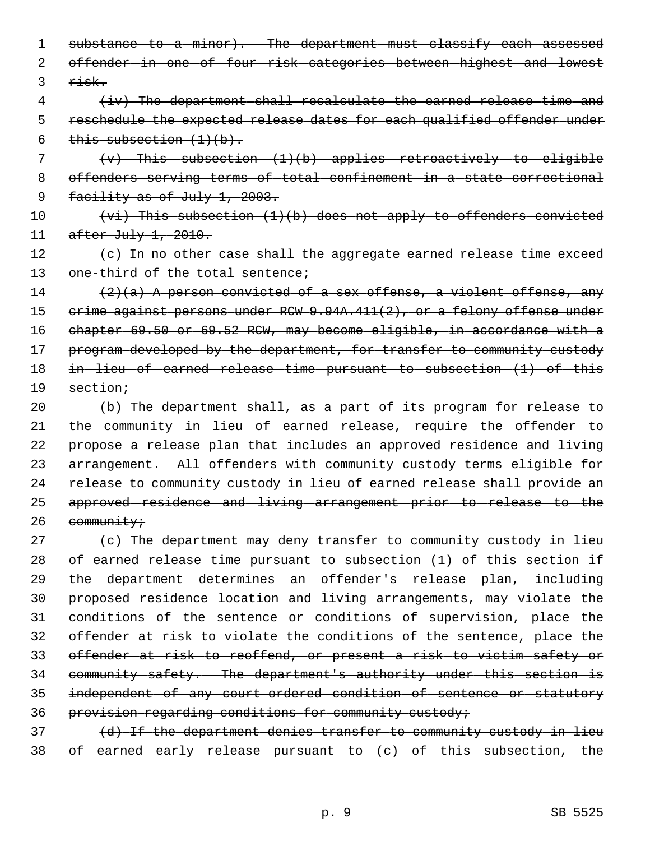1 substance to a minor). The department must classify each assessed offender in one of four risk categories between highest and lowest risk.

 (iv) The department shall recalculate the earned release time and reschedule the expected release dates for each qualified offender under 6 this subsection  $(1)(b)$ .

 (v) This subsection (1)(b) applies retroactively to eligible offenders serving terms of total confinement in a state correctional 9 facility as of July 1, 2003.

10 (vi) This subsection (1)(b) does not apply to offenders convicted after July 1, 2010.

 $(e)$  In no other case shall the aggregate earned release time exceed 13 one-third of the total sentence;

14  $(2)(a)$  A person convicted of a sex offense, a violent offense, any 15 crime against persons under RCW 9.94A.411(2), or a felony offense under chapter 69.50 or 69.52 RCW, may become eligible, in accordance with a 17 program developed by the department, for transfer to community custody in lieu of earned release time pursuant to subsection (1) of this section;

 $(b)$  The department shall, as a part of its program for release to the community in lieu of earned release, require the offender to propose a release plan that includes an approved residence and living arrangement. All offenders with community custody terms eligible for 24 release to community custody in lieu of earned release shall provide an approved residence and living arrangement prior to release to the 26 community;

 (c) The department may deny transfer to community custody in lieu of earned release time pursuant to subsection (1) of this section if the department determines an offender's release plan, including proposed residence location and living arrangements, may violate the conditions of the sentence or conditions of supervision, place the offender at risk to violate the conditions of the sentence, place the offender at risk to reoffend, or present a risk to victim safety or community safety. The department's authority under this section is independent of any court-ordered condition of sentence or statutory 36 provision regarding conditions for community custody;

37 (d) If the department denies transfer to community custody in lieu of earned early release pursuant to (c) of this subsection, the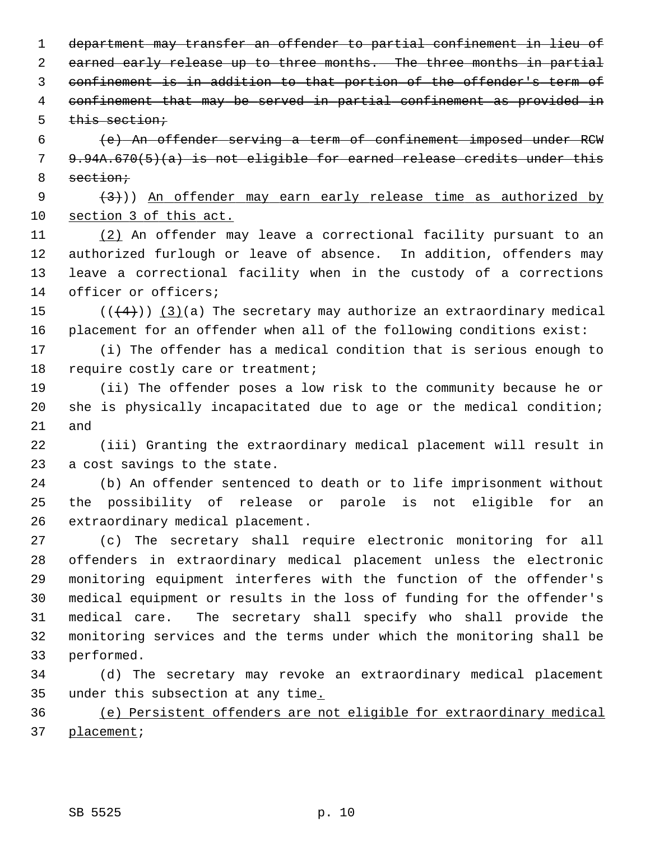department may transfer an offender to partial confinement in lieu of 2 earned early release up to three months. The three months in partial confinement is in addition to that portion of the offender's term of confinement that may be served in partial confinement as provided in this section;

 6 (e) An offender serving a term of confinement imposed under RCW 7 9.94A.670(5)(a) is not eligible for earned release credits under this 8 section;

9  $(3)$ ) An offender may earn early release time as authorized by 10 section 3 of this act.

11 (2) An offender may leave a correctional facility pursuant to an 12 authorized furlough or leave of absence. In addition, offenders may 13 leave a correctional facility when in the custody of a corrections 14 officer or officers;

15  $((+4))$   $(3)(a)$  The secretary may authorize an extraordinary medical 16 placement for an offender when all of the following conditions exist:

17 (i) The offender has a medical condition that is serious enough to 18 require costly care or treatment;

19 (ii) The offender poses a low risk to the community because he or 20 she is physically incapacitated due to age or the medical condition; 21 and

22 (iii) Granting the extraordinary medical placement will result in 23 a cost savings to the state.

24 (b) An offender sentenced to death or to life imprisonment without 25 the possibility of release or parole is not eligible for an 26 extraordinary medical placement.

27 (c) The secretary shall require electronic monitoring for all 28 offenders in extraordinary medical placement unless the electronic 29 monitoring equipment interferes with the function of the offender's 30 medical equipment or results in the loss of funding for the offender's 31 medical care. The secretary shall specify who shall provide the 32 monitoring services and the terms under which the monitoring shall be 33 performed.

34 (d) The secretary may revoke an extraordinary medical placement 35 under this subsection at any time.

36 (e) Persistent offenders are not eligible for extraordinary medical 37 placement;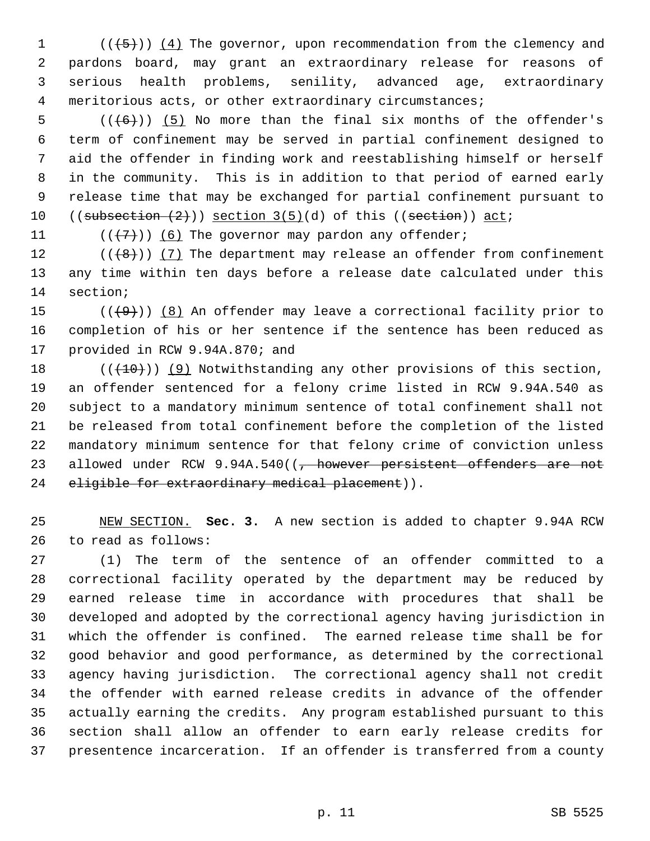1  $((+5))$   $(4)$  The governor, upon recommendation from the clemency and 2 pardons board, may grant an extraordinary release for reasons of 3 serious health problems, senility, advanced age, extraordinary 4 meritorious acts, or other extraordinary circumstances;

 $5$  (( $(6)$ )) (5) No more than the final six months of the offender's 6 term of confinement may be served in partial confinement designed to 7 aid the offender in finding work and reestablishing himself or herself 8 in the community. This is in addition to that period of earned early 9 release time that may be exchanged for partial confinement pursuant to 10  $((\text{subsection} (2))$  section  $3(5)(d)$  of this  $((\text{section}))$  act;

11  $((\langle 7 \rangle)(6)$  The governor may pardon any offender;

12  $((+8))$   $(7)$  The department may release an offender from confinement 13 any time within ten days before a release date calculated under this 14 section;

15  $((+9))$  (8) An offender may leave a correctional facility prior to 16 completion of his or her sentence if the sentence has been reduced as 17 provided in RCW 9.94A.870; and

18  $((+10))$  (9) Notwithstanding any other provisions of this section, 19 an offender sentenced for a felony crime listed in RCW 9.94A.540 as 20 subject to a mandatory minimum sentence of total confinement shall not 21 be released from total confinement before the completion of the listed 22 mandatory minimum sentence for that felony crime of conviction unless 23 allowed under RCW 9.94A.540((<del>, however persistent offenders are not</del> 24 eligible for extraordinary medical placement)).

25 NEW SECTION. **Sec. 3.** A new section is added to chapter 9.94A RCW 26 to read as follows:

27 (1) The term of the sentence of an offender committed to a 28 correctional facility operated by the department may be reduced by 29 earned release time in accordance with procedures that shall be 30 developed and adopted by the correctional agency having jurisdiction in 31 which the offender is confined. The earned release time shall be for 32 good behavior and good performance, as determined by the correctional 33 agency having jurisdiction. The correctional agency shall not credit 34 the offender with earned release credits in advance of the offender 35 actually earning the credits. Any program established pursuant to this 36 section shall allow an offender to earn early release credits for 37 presentence incarceration. If an offender is transferred from a county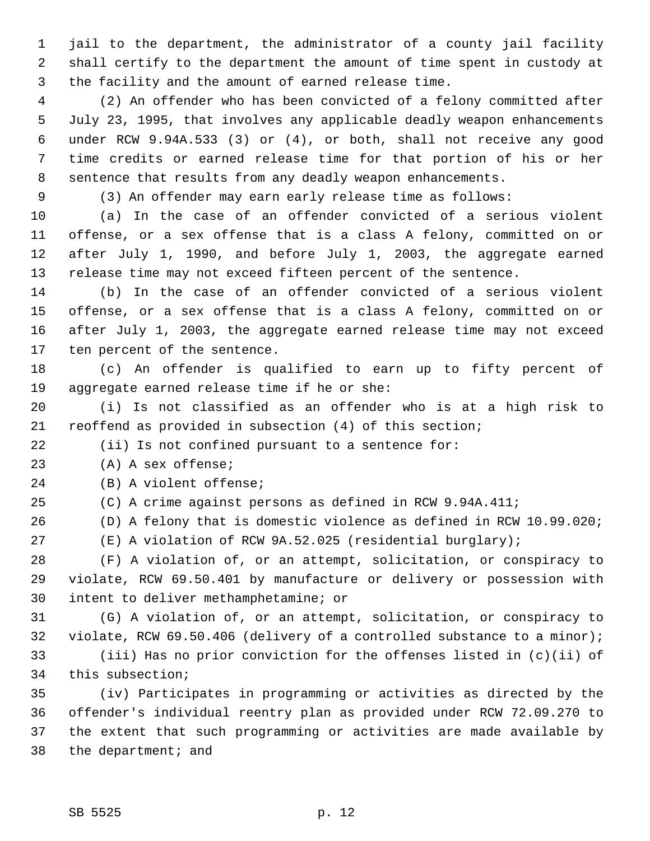1 jail to the department, the administrator of a county jail facility 2 shall certify to the department the amount of time spent in custody at 3 the facility and the amount of earned release time.

 4 (2) An offender who has been convicted of a felony committed after 5 July 23, 1995, that involves any applicable deadly weapon enhancements 6 under RCW 9.94A.533 (3) or (4), or both, shall not receive any good 7 time credits or earned release time for that portion of his or her 8 sentence that results from any deadly weapon enhancements.

9 (3) An offender may earn early release time as follows:

10 (a) In the case of an offender convicted of a serious violent 11 offense, or a sex offense that is a class A felony, committed on or 12 after July 1, 1990, and before July 1, 2003, the aggregate earned 13 release time may not exceed fifteen percent of the sentence.

14 (b) In the case of an offender convicted of a serious violent 15 offense, or a sex offense that is a class A felony, committed on or 16 after July 1, 2003, the aggregate earned release time may not exceed 17 ten percent of the sentence.

18 (c) An offender is qualified to earn up to fifty percent of 19 aggregate earned release time if he or she:

20 (i) Is not classified as an offender who is at a high risk to 21 reoffend as provided in subsection (4) of this section;

22 (ii) Is not confined pursuant to a sentence for:

23 (A) A sex offense;

24 (B) A violent offense;

25 (C) A crime against persons as defined in RCW 9.94A.411;

26 (D) A felony that is domestic violence as defined in RCW 10.99.020;

27 (E) A violation of RCW 9A.52.025 (residential burglary);

28 (F) A violation of, or an attempt, solicitation, or conspiracy to 29 violate, RCW 69.50.401 by manufacture or delivery or possession with 30 intent to deliver methamphetamine; or

31 (G) A violation of, or an attempt, solicitation, or conspiracy to 32 violate, RCW 69.50.406 (delivery of a controlled substance to a minor);

33 (iii) Has no prior conviction for the offenses listed in (c)(ii) of 34 this subsection;

35 (iv) Participates in programming or activities as directed by the 36 offender's individual reentry plan as provided under RCW 72.09.270 to 37 the extent that such programming or activities are made available by 38 the department; and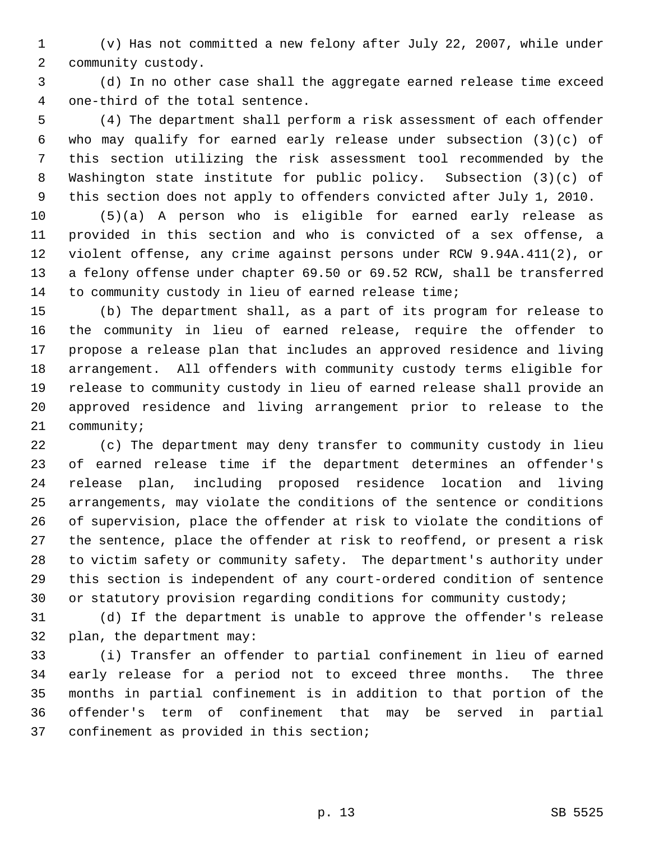1 (v) Has not committed a new felony after July 22, 2007, while under 2 community custody.

 3 (d) In no other case shall the aggregate earned release time exceed 4 one-third of the total sentence.

 5 (4) The department shall perform a risk assessment of each offender 6 who may qualify for earned early release under subsection (3)(c) of 7 this section utilizing the risk assessment tool recommended by the 8 Washington state institute for public policy. Subsection (3)(c) of 9 this section does not apply to offenders convicted after July 1, 2010.

10 (5)(a) A person who is eligible for earned early release as 11 provided in this section and who is convicted of a sex offense, a 12 violent offense, any crime against persons under RCW 9.94A.411(2), or 13 a felony offense under chapter 69.50 or 69.52 RCW, shall be transferred 14 to community custody in lieu of earned release time;

15 (b) The department shall, as a part of its program for release to 16 the community in lieu of earned release, require the offender to 17 propose a release plan that includes an approved residence and living 18 arrangement. All offenders with community custody terms eligible for 19 release to community custody in lieu of earned release shall provide an 20 approved residence and living arrangement prior to release to the 21 community;

22 (c) The department may deny transfer to community custody in lieu 23 of earned release time if the department determines an offender's 24 release plan, including proposed residence location and living 25 arrangements, may violate the conditions of the sentence or conditions 26 of supervision, place the offender at risk to violate the conditions of 27 the sentence, place the offender at risk to reoffend, or present a risk 28 to victim safety or community safety. The department's authority under 29 this section is independent of any court-ordered condition of sentence 30 or statutory provision regarding conditions for community custody;

31 (d) If the department is unable to approve the offender's release 32 plan, the department may:

33 (i) Transfer an offender to partial confinement in lieu of earned 34 early release for a period not to exceed three months. The three 35 months in partial confinement is in addition to that portion of the 36 offender's term of confinement that may be served in partial 37 confinement as provided in this section;